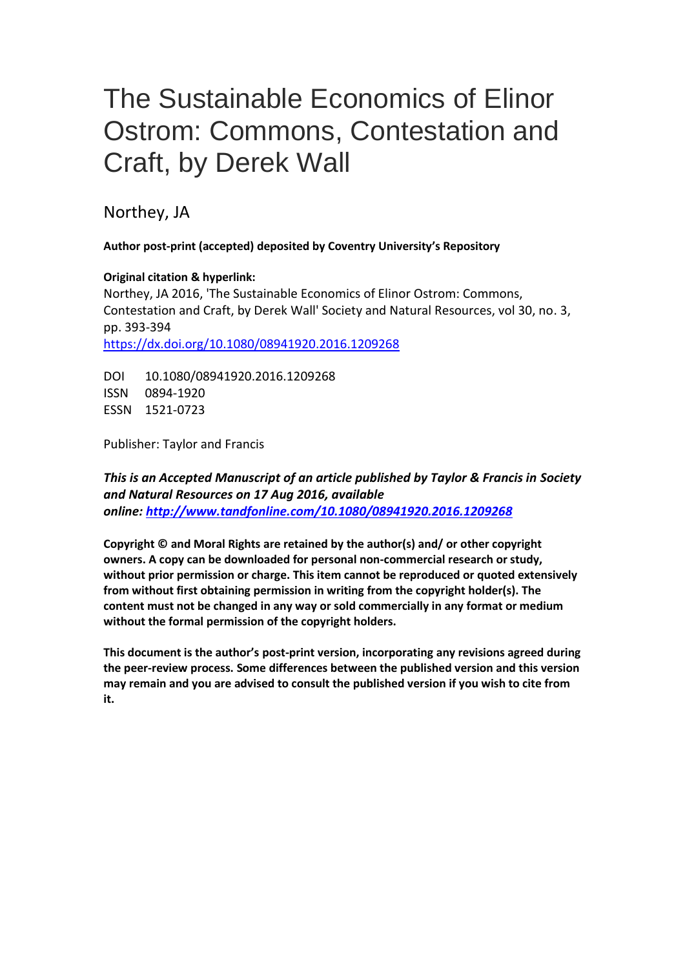## The Sustainable Economics of Elinor Ostrom: Commons, Contestation and Craft, by Derek Wall

Northey, JA

## **Author post-print (accepted) deposited by Coventry University's Repository**

**Original citation & hyperlink:** Northey, JA 2016, 'The Sustainable Economics of Elinor Ostrom: Commons, Contestation and Craft, by Derek Wall' Society and Natural Resources, vol 30, no. 3, pp. 393-394 <https://dx.doi.org/10.1080/08941920.2016.1209268>

DOI 10.1080/08941920.2016.1209268 ISSN 0894-1920 ESSN 1521-0723

Publisher: Taylor and Francis

*This is an Accepted Manuscript of an article published by Taylor & Francis in Society and Natural Resources on 17 Aug 2016, available online: <http://www.tandfonline.com/10.1080/08941920.2016.1209268>*

**Copyright © and Moral Rights are retained by the author(s) and/ or other copyright owners. A copy can be downloaded for personal non-commercial research or study, without prior permission or charge. This item cannot be reproduced or quoted extensively from without first obtaining permission in writing from the copyright holder(s). The content must not be changed in any way or sold commercially in any format or medium without the formal permission of the copyright holders.** 

**This document is the author's post-print version, incorporating any revisions agreed during the peer-review process. Some differences between the published version and this version may remain and you are advised to consult the published version if you wish to cite from it.**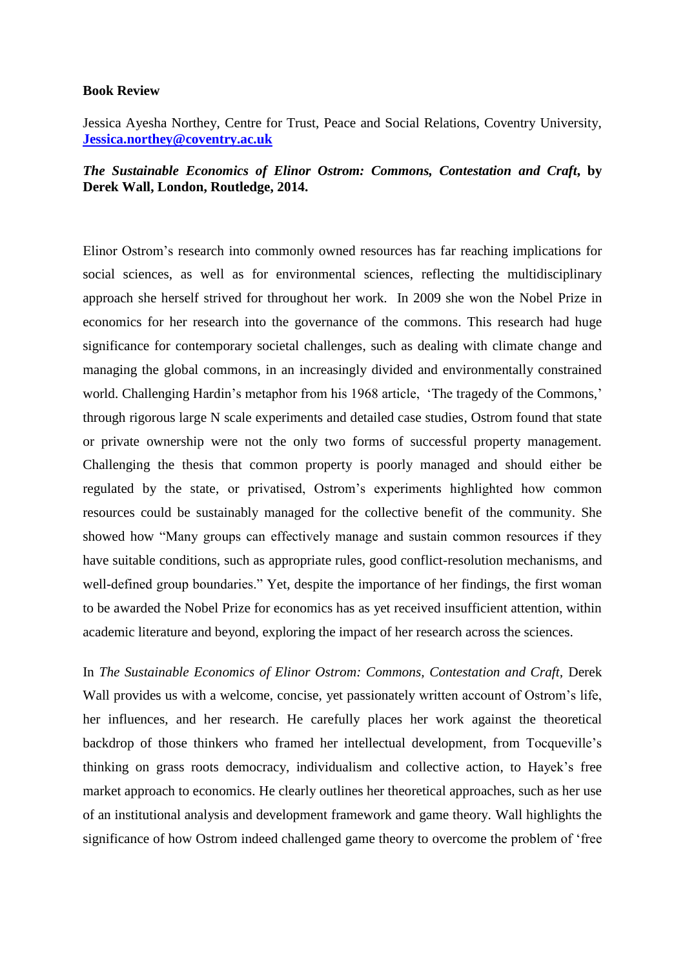## **Book Review**

Jessica Ayesha Northey, Centre for Trust, Peace and Social Relations, Coventry University, **[Jessica.northey@coventry.ac.uk](mailto:Jessica.northey@coventry.ac.uk)**

## *The Sustainable Economics of Elinor Ostrom: Commons, Contestation and Craft***, by Derek Wall, London, Routledge, 2014.**

Elinor Ostrom's research into commonly owned resources has far reaching implications for social sciences, as well as for environmental sciences, reflecting the multidisciplinary approach she herself strived for throughout her work. In 2009 she won the Nobel Prize in economics for her research into the governance of the commons. This research had huge significance for contemporary societal challenges, such as dealing with climate change and managing the global commons, in an increasingly divided and environmentally constrained world. Challenging Hardin's metaphor from his 1968 article, 'The tragedy of the Commons,' through rigorous large N scale experiments and detailed case studies, Ostrom found that state or private ownership were not the only two forms of successful property management. Challenging the thesis that common property is poorly managed and should either be regulated by the state, or privatised, Ostrom's experiments highlighted how common resources could be sustainably managed for the collective benefit of the community. She showed how "Many groups can effectively manage and sustain common resources if they have suitable conditions, such as appropriate rules, good conflict-resolution mechanisms, and well-defined group boundaries." Yet, despite the importance of her findings, the first woman to be awarded the Nobel Prize for economics has as yet received insufficient attention, within academic literature and beyond, exploring the impact of her research across the sciences.

In *The Sustainable Economics of Elinor Ostrom: Commons, Contestation and Craft, Derek* Wall provides us with a welcome, concise, yet passionately written account of Ostrom's life, her influences, and her research. He carefully places her work against the theoretical backdrop of those thinkers who framed her intellectual development, from Tocqueville's thinking on grass roots democracy, individualism and collective action, to Hayek's free market approach to economics. He clearly outlines her theoretical approaches, such as her use of an institutional analysis and development framework and game theory. Wall highlights the significance of how Ostrom indeed challenged game theory to overcome the problem of 'free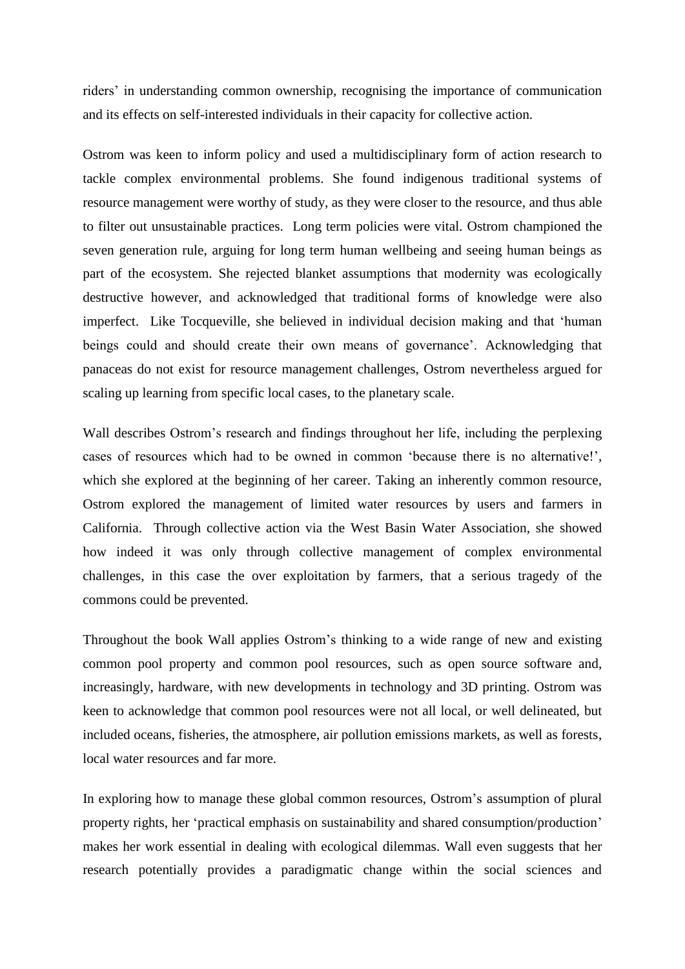riders' in understanding common ownership, recognising the importance of communication and its effects on self-interested individuals in their capacity for collective action.

Ostrom was keen to inform policy and used a multidisciplinary form of action research to tackle complex environmental problems. She found indigenous traditional systems of resource management were worthy of study, as they were closer to the resource, and thus able to filter out unsustainable practices. Long term policies were vital. Ostrom championed the seven generation rule, arguing for long term human wellbeing and seeing human beings as part of the ecosystem. She rejected blanket assumptions that modernity was ecologically destructive however, and acknowledged that traditional forms of knowledge were also imperfect. Like Tocqueville, she believed in individual decision making and that 'human beings could and should create their own means of governance'. Acknowledging that panaceas do not exist for resource management challenges, Ostrom nevertheless argued for scaling up learning from specific local cases, to the planetary scale.

Wall describes Ostrom's research and findings throughout her life, including the perplexing cases of resources which had to be owned in common 'because there is no alternative!', which she explored at the beginning of her career. Taking an inherently common resource, Ostrom explored the management of limited water resources by users and farmers in California. Through collective action via the West Basin Water Association, she showed how indeed it was only through collective management of complex environmental challenges, in this case the over exploitation by farmers, that a serious tragedy of the commons could be prevented.

Throughout the book Wall applies Ostrom's thinking to a wide range of new and existing common pool property and common pool resources, such as open source software and, increasingly, hardware, with new developments in technology and 3D printing. Ostrom was keen to acknowledge that common pool resources were not all local, or well delineated, but included oceans, fisheries, the atmosphere, air pollution emissions markets, as well as forests, local water resources and far more.

In exploring how to manage these global common resources, Ostrom's assumption of plural property rights, her 'practical emphasis on sustainability and shared consumption/production' makes her work essential in dealing with ecological dilemmas. Wall even suggests that her research potentially provides a paradigmatic change within the social sciences and